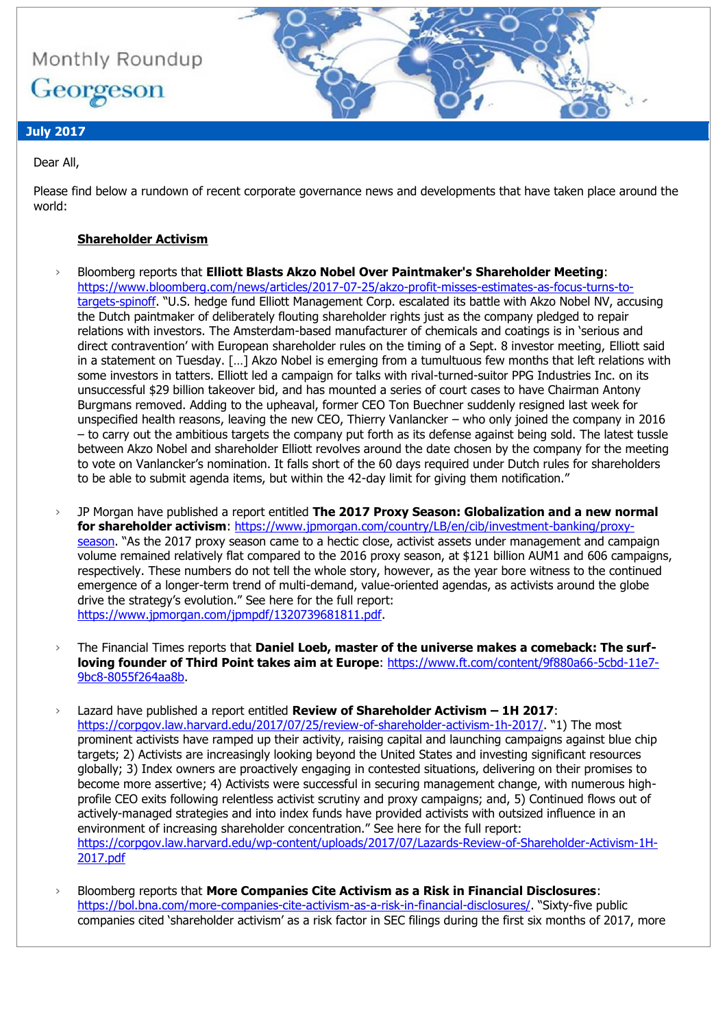

# **July 2017**

Dear All,

Please find below a rundown of recent corporate governance news and developments that have taken place around the world:

# **Shareholder Activism**

- › Bloomberg reports that **Elliott Blasts Akzo Nobel Over Paintmaker's Shareholder Meeting**: [https://www.bloomberg.com/news/articles/2017-07-25/akzo-profit-misses-estimates-as-focus-turns-to](https://www.bloomberg.com/news/articles/2017-07-25/akzo-profit-misses-estimates-as-focus-turns-to-targets-spinoff)[targets-spinoff](https://www.bloomberg.com/news/articles/2017-07-25/akzo-profit-misses-estimates-as-focus-turns-to-targets-spinoff). "U.S. hedge fund Elliott Management Corp. escalated its battle with Akzo Nobel NV, accusing the Dutch paintmaker of deliberately flouting shareholder rights just as the company pledged to repair relations with investors. The Amsterdam-based manufacturer of chemicals and coatings is in 'serious and direct contravention' with European shareholder rules on the timing of a Sept. 8 investor meeting, Elliott said in a statement on Tuesday. […] Akzo Nobel is emerging from a tumultuous few months that left relations with some investors in tatters. Elliott led a campaign for talks with rival-turned-suitor PPG Industries Inc. on its unsuccessful \$29 billion takeover bid, and has mounted a series of court cases to have Chairman Antony Burgmans removed. Adding to the upheaval, former CEO Ton Buechner suddenly resigned last week for unspecified health reasons, leaving the new CEO, Thierry Vanlancker – who only joined the company in 2016 – to carry out the ambitious targets the company put forth as its defense against being sold. The latest tussle between Akzo Nobel and shareholder Elliott revolves around the date chosen by the company for the meeting to vote on Vanlancker's nomination. It falls short of the 60 days required under Dutch rules for shareholders to be able to submit agenda items, but within the 42-day limit for giving them notification."
- › JP Morgan have published a report entitled **The 2017 Proxy Season: Globalization and a new normal for shareholder activism**: [https://www.jpmorgan.com/country/LB/en/cib/investment-banking/proxy](https://www.jpmorgan.com/country/LB/en/cib/investment-banking/proxy-season)[season](https://www.jpmorgan.com/country/LB/en/cib/investment-banking/proxy-season). "As the 2017 proxy season came to a hectic close, activist assets under management and campaign volume remained relatively flat compared to the 2016 proxy season, at \$121 billion AUM1 and 606 campaigns, respectively. These numbers do not tell the whole story, however, as the year bore witness to the continued emergence of a longer-term trend of multi-demand, value-oriented agendas, as activists around the globe drive the strategy's evolution." See here for the full report: [https://www.jpmorgan.com/jpmpdf/1320739681811.pdf.](https://www.jpmorgan.com/jpmpdf/1320739681811.pdf)
- › The Financial Times reports that **Daniel Loeb, master of the universe makes a comeback: The surfloving founder of Third Point takes aim at Europe**: [https://www.ft.com/content/9f880a66-5cbd-11e7-](https://www.ft.com/content/9f880a66-5cbd-11e7-9bc8-8055f264aa8b) [9bc8-8055f264aa8b.](https://www.ft.com/content/9f880a66-5cbd-11e7-9bc8-8055f264aa8b)
- › Lazard have published a report entitled **Review of Shareholder Activism – 1H 2017**: <https://corpgov.law.harvard.edu/2017/07/25/review-of-shareholder-activism-1h-2017/>. "1) The most prominent activists have ramped up their activity, raising capital and launching campaigns against blue chip targets; 2) Activists are increasingly looking beyond the United States and investing significant resources globally; 3) Index owners are proactively engaging in contested situations, delivering on their promises to become more assertive; 4) Activists were successful in securing management change, with numerous highprofile CEO exits following relentless activist scrutiny and proxy campaigns; and, 5) Continued flows out of actively-managed strategies and into index funds have provided activists with outsized influence in an environment of increasing shareholder concentration." See here for the full report: [https://corpgov.law.harvard.edu/wp-content/uploads/2017/07/Lazards-Review-of-Shareholder-Activism-1H-](https://corpgov.law.harvard.edu/wp-content/uploads/2017/07/Lazards-Review-of-Shareholder-Activism-1H-2017.pdf)[2017.pdf](https://corpgov.law.harvard.edu/wp-content/uploads/2017/07/Lazards-Review-of-Shareholder-Activism-1H-2017.pdf)
- › Bloomberg reports that **More Companies Cite Activism as a Risk in Financial Disclosures**: <https://bol.bna.com/more-companies-cite-activism-as-a-risk-in-financial-disclosures/>. "Sixty-five public companies cited 'shareholder activism' as a risk factor in SEC filings during the first six months of 2017, more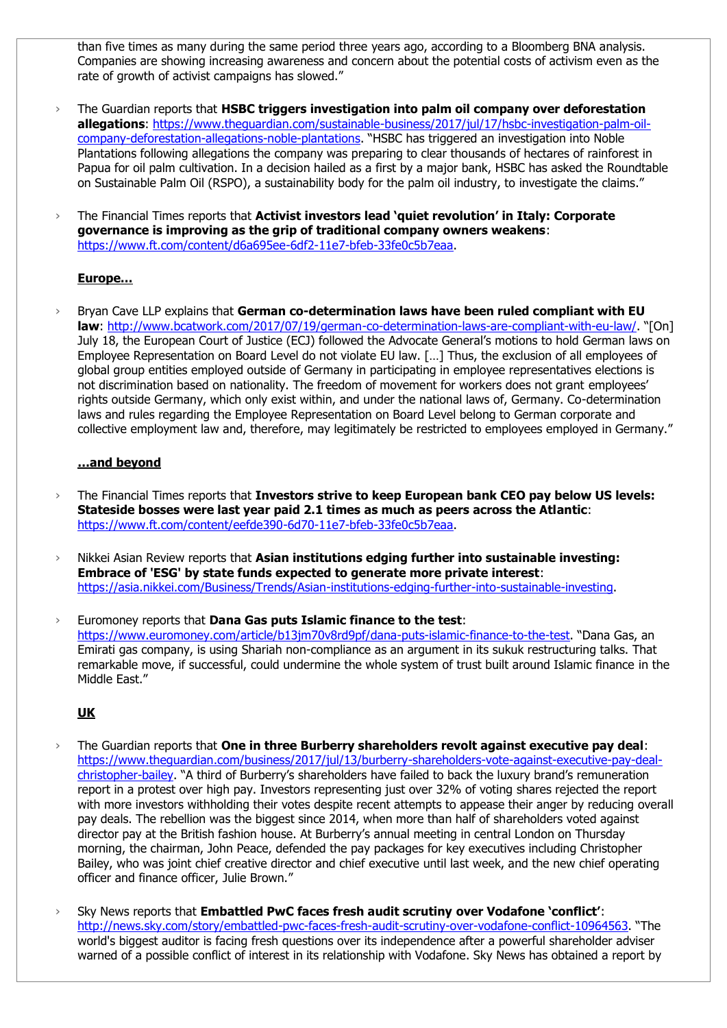than five times as many during the same period three years ago, according to a Bloomberg BNA analysis. Companies are showing increasing awareness and concern about the potential costs of activism even as the rate of growth of activist campaigns has slowed."

› The Guardian reports that **HSBC triggers investigation into palm oil company over deforestation allegations**: [https://www.theguardian.com/sustainable-business/2017/jul/17/hsbc-investigation-palm-oil](https://www.theguardian.com/sustainable-business/2017/jul/17/hsbc-investigation-palm-oil-company-deforestation-allegations-noble-plantations)[company-deforestation-allegations-noble-plantations](https://www.theguardian.com/sustainable-business/2017/jul/17/hsbc-investigation-palm-oil-company-deforestation-allegations-noble-plantations). "HSBC has triggered an investigation into Noble Plantations following allegations the company was preparing to clear thousands of hectares of rainforest in Papua for oil palm cultivation. In a decision hailed as a first by a major bank, HSBC has asked the Roundtable on Sustainable Palm Oil (RSPO), a sustainability body for the palm oil industry, to investigate the claims."

› The Financial Times reports that **Activist investors lead 'quiet revolution' in Italy: Corporate governance is improving as the grip of traditional company owners weakens**: [https://www.ft.com/content/d6a695ee-6df2-11e7-bfeb-33fe0c5b7eaa.](https://www.ft.com/content/d6a695ee-6df2-11e7-bfeb-33fe0c5b7eaa)

# **Europe…**

› Bryan Cave LLP explains that **German co-determination laws have been ruled compliant with EU law**:<http://www.bcatwork.com/2017/07/19/german-co-determination-laws-are-compliant-with-eu-law/>. "[On] July 18, the European Court of Justice (ECJ) followed the Advocate General's motions to hold German laws on Employee Representation on Board Level do not violate EU law. […] Thus, the exclusion of all employees of global group entities employed outside of Germany in participating in employee representatives elections is not discrimination based on nationality. The freedom of movement for workers does not grant employees' rights outside Germany, which only exist within, and under the national laws of, Germany. Co-determination laws and rules regarding the Employee Representation on Board Level belong to German corporate and collective employment law and, therefore, may legitimately be restricted to employees employed in Germany."

# **…and beyond**

- › The Financial Times reports that **Investors strive to keep European bank CEO pay below US levels: Stateside bosses were last year paid 2.1 times as much as peers across the Atlantic**: [https://www.ft.com/content/eefde390-6d70-11e7-bfeb-33fe0c5b7eaa.](https://www.ft.com/content/eefde390-6d70-11e7-bfeb-33fe0c5b7eaa)
- › Nikkei Asian Review reports that **Asian institutions edging further into sustainable investing: Embrace of 'ESG' by state funds expected to generate more private interest**: [https://asia.nikkei.com/Business/Trends/Asian-institutions-edging-further-into-sustainable-investing.](https://asia.nikkei.com/Business/Trends/Asian-institutions-edging-further-into-sustainable-investing)
- › Euromoney reports that **Dana Gas puts Islamic finance to the test**: <https://www.euromoney.com/article/b13jm70v8rd9pf/dana-puts-islamic-finance-to-the-test>. "Dana Gas, an Emirati gas company, is using Shariah non-compliance as an argument in its sukuk restructuring talks. That remarkable move, if successful, could undermine the whole system of trust built around Islamic finance in the Middle East."

# **UK**

- › The Guardian reports that **One in three Burberry shareholders revolt against executive pay deal**: [https://www.theguardian.com/business/2017/jul/13/burberry-shareholders-vote-against-executive-pay-deal](https://www.theguardian.com/business/2017/jul/13/burberry-shareholders-vote-against-executive-pay-deal-christopher-bailey)[christopher-bailey](https://www.theguardian.com/business/2017/jul/13/burberry-shareholders-vote-against-executive-pay-deal-christopher-bailey). "A third of Burberry's shareholders have failed to back the luxury brand's remuneration report in a protest over high pay. Investors representing just over 32% of voting shares rejected the report with more investors withholding their votes despite recent attempts to appease their anger by reducing overall pay deals. The rebellion was the biggest since 2014, when more than half of shareholders voted against director pay at the British fashion house. At Burberry's annual meeting in central London on Thursday morning, the chairman, John Peace, defended the pay packages for key executives including Christopher Bailey, who was joint chief creative director and chief executive until last week, and the new chief operating officer and finance officer, Julie Brown."
- › Sky News reports that **Embattled PwC faces fresh audit scrutiny over Vodafone 'conflict'**: <http://news.sky.com/story/embattled-pwc-faces-fresh-audit-scrutiny-over-vodafone-conflict-10964563>. "The world's biggest auditor is facing fresh questions over its independence after a powerful shareholder adviser warned of a possible conflict of interest in its relationship with Vodafone. Sky News has obtained a report by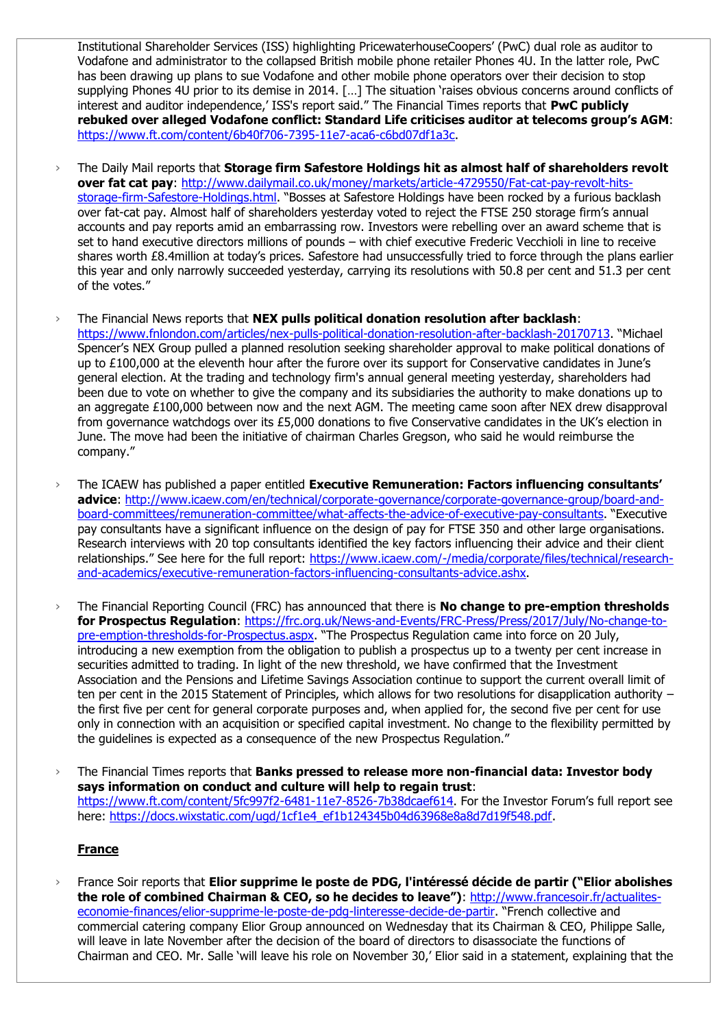Institutional Shareholder Services (ISS) highlighting PricewaterhouseCoopers' (PwC) dual role as auditor to Vodafone and administrator to the collapsed British mobile phone retailer Phones 4U. In the latter role, PwC has been drawing up plans to sue Vodafone and other mobile phone operators over their decision to stop supplying Phones 4U prior to its demise in 2014. [...] The situation 'raises obvious concerns around conflicts of interest and auditor independence,' ISS's report said." The Financial Times reports that **PwC publicly rebuked over alleged Vodafone conflict: Standard Life criticises auditor at telecoms group's AGM**: [https://www.ft.com/content/6b40f706-7395-11e7-aca6-c6bd07df1a3c.](https://www.ft.com/content/6b40f706-7395-11e7-aca6-c6bd07df1a3c)

- › The Daily Mail reports that **Storage firm Safestore Holdings hit as almost half of shareholders revolt over fat cat pay**: [http://www.dailymail.co.uk/money/markets/article-4729550/Fat-cat-pay-revolt-hits](http://www.dailymail.co.uk/money/markets/article-4729550/Fat-cat-pay-revolt-hits-storage-firm-Safestore-Holdings.html)[storage-firm-Safestore-Holdings.html](http://www.dailymail.co.uk/money/markets/article-4729550/Fat-cat-pay-revolt-hits-storage-firm-Safestore-Holdings.html). "Bosses at Safestore Holdings have been rocked by a furious backlash over fat-cat pay. Almost half of shareholders yesterday voted to reject the FTSE 250 storage firm's annual accounts and pay reports amid an embarrassing row. Investors were rebelling over an award scheme that is set to hand executive directors millions of pounds – with chief executive Frederic Vecchioli in line to receive shares worth £8.4million at today's prices. Safestore had unsuccessfully tried to force through the plans earlier this year and only narrowly succeeded yesterday, carrying its resolutions with 50.8 per cent and 51.3 per cent of the votes."
- › The Financial News reports that **NEX pulls political donation resolution after backlash**: <https://www.fnlondon.com/articles/nex-pulls-political-donation-resolution-after-backlash-20170713>. "Michael Spencer's NEX Group pulled a planned resolution seeking shareholder approval to make political donations of up to £100,000 at the eleventh hour after the furore over its support for Conservative candidates in June's general election. At the trading and technology firm's annual general meeting yesterday, shareholders had been due to vote on whether to give the company and its subsidiaries the authority to make donations up to an aggregate £100,000 between now and the next AGM. The meeting came soon after NEX drew disapproval from governance watchdogs over its £5,000 donations to five Conservative candidates in the UK's election in June. The move had been the initiative of chairman Charles Gregson, who said he would reimburse the company."
- › The ICAEW has published a paper entitled **Executive Remuneration: Factors influencing consultants' advice**: [http://www.icaew.com/en/technical/corporate-governance/corporate-governance-group/board-and](http://www.icaew.com/en/technical/corporate-governance/corporate-governance-group/board-and-board-committees/remuneration-committee/what-affects-the-advice-of-executive-pay-consultants)[board-committees/remuneration-committee/what-affects-the-advice-of-executive-pay-consultants.](http://www.icaew.com/en/technical/corporate-governance/corporate-governance-group/board-and-board-committees/remuneration-committee/what-affects-the-advice-of-executive-pay-consultants) "Executive pay consultants have a significant influence on the design of pay for FTSE 350 and other large organisations. Research interviews with 20 top consultants identified the key factors influencing their advice and their client relationships." See here for the full report: [https://www.icaew.com/-/media/corporate/files/technical/research](https://www.icaew.com/-/media/corporate/files/technical/research-and-academics/executive-remuneration-factors-influencing-consultants-advice.ashx)[and-academics/executive-remuneration-factors-influencing-consultants-advice.ashx.](https://www.icaew.com/-/media/corporate/files/technical/research-and-academics/executive-remuneration-factors-influencing-consultants-advice.ashx)
- › The Financial Reporting Council (FRC) has announced that there is **No change to pre-emption thresholds for Prospectus Regulation**: [https://frc.org.uk/News-and-Events/FRC-Press/Press/2017/July/No-change-to](https://frc.org.uk/News-and-Events/FRC-Press/Press/2017/July/No-change-to-pre-emption-thresholds-for-Prospectus.aspx)[pre-emption-thresholds-for-Prospectus.aspx](https://frc.org.uk/News-and-Events/FRC-Press/Press/2017/July/No-change-to-pre-emption-thresholds-for-Prospectus.aspx). "The Prospectus Regulation came into force on 20 July, introducing a new exemption from the obligation to publish a prospectus up to a twenty per cent increase in securities admitted to trading. In light of the new threshold, we have confirmed that the Investment Association and the Pensions and Lifetime Savings Association continue to support the current overall limit of ten per cent in the 2015 Statement of Principles, which allows for two resolutions for disapplication authority the first five per cent for general corporate purposes and, when applied for, the second five per cent for use only in connection with an acquisition or specified capital investment. No change to the flexibility permitted by the guidelines is expected as a consequence of the new Prospectus Regulation."
- › The Financial Times reports that **Banks pressed to release more non-financial data: Investor body says information on conduct and culture will help to regain trust**: <https://www.ft.com/content/5fc997f2-6481-11e7-8526-7b38dcaef614>. For the Investor Forum's full report see here: [https://docs.wixstatic.com/ugd/1cf1e4\\_ef1b124345b04d63968e8a8d7d19f548.pdf.](https://docs.wixstatic.com/ugd/1cf1e4_ef1b124345b04d63968e8a8d7d19f548.pdf)

# **France**

› France Soir reports that **Elior supprime le poste de PDG, l'intéressé décide de partir ("Elior abolishes the role of combined Chairman & CEO, so he decides to leave")**: [http://www.francesoir.fr/actualites](http://www.francesoir.fr/actualites-economie-finances/elior-supprime-le-poste-de-pdg-linteresse-decide-de-partir)[economie-finances/elior-supprime-le-poste-de-pdg-linteresse-decide-de-partir](http://www.francesoir.fr/actualites-economie-finances/elior-supprime-le-poste-de-pdg-linteresse-decide-de-partir). "French collective and commercial catering company Elior Group announced on Wednesday that its Chairman & CEO, Philippe Salle, will leave in late November after the decision of the board of directors to disassociate the functions of Chairman and CEO. Mr. Salle 'will leave his role on November 30,' Elior said in a statement, explaining that the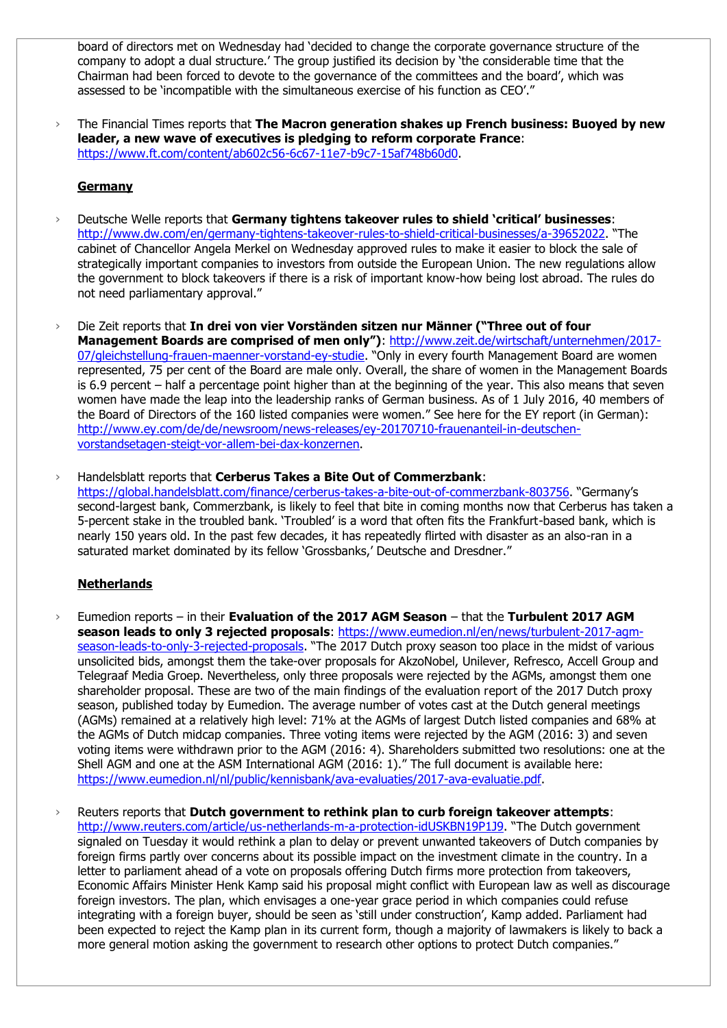board of directors met on Wednesday had 'decided to change the corporate governance structure of the company to adopt a dual structure.' The group justified its decision by 'the considerable time that the Chairman had been forced to devote to the governance of the committees and the board', which was assessed to be 'incompatible with the simultaneous exercise of his function as CEO'."

› The Financial Times reports that **The Macron generation shakes up French business: Buoyed by new leader, a new wave of executives is pledging to reform corporate France**: [https://www.ft.com/content/ab602c56-6c67-11e7-b9c7-15af748b60d0.](https://www.ft.com/content/ab602c56-6c67-11e7-b9c7-15af748b60d0)

#### **Germany**

- › Deutsche Welle reports that **Germany tightens takeover rules to shield 'critical' businesses**: <http://www.dw.com/en/germany-tightens-takeover-rules-to-shield-critical-businesses/a-39652022>. "The cabinet of Chancellor Angela Merkel on Wednesday approved rules to make it easier to block the sale of strategically important companies to investors from outside the European Union. The new regulations allow the government to block takeovers if there is a risk of important know-how being lost abroad. The rules do not need parliamentary approval."
- › Die Zeit reports that **In drei von vier Vorständen sitzen nur Männer ("Three out of four Management Boards are comprised of men only")**: [http://www.zeit.de/wirtschaft/unternehmen/2017-](http://www.zeit.de/wirtschaft/unternehmen/2017-07/gleichstellung-frauen-maenner-vorstand-ey-studie) [07/gleichstellung-frauen-maenner-vorstand-ey-studie](http://www.zeit.de/wirtschaft/unternehmen/2017-07/gleichstellung-frauen-maenner-vorstand-ey-studie). "Only in every fourth Management Board are women represented, 75 per cent of the Board are male only. Overall, the share of women in the Management Boards is 6.9 percent – half a percentage point higher than at the beginning of the year. This also means that seven women have made the leap into the leadership ranks of German business. As of 1 July 2016, 40 members of the Board of Directors of the 160 listed companies were women." See here for the EY report (in German): [http://www.ey.com/de/de/newsroom/news-releases/ey-20170710-frauenanteil-in-deutschen](http://www.ey.com/de/de/newsroom/news-releases/ey-20170710-frauenanteil-in-deutschen-vorstandsetagen-steigt-vor-allem-bei-dax-konzernen)[vorstandsetagen-steigt-vor-allem-bei-dax-konzernen.](http://www.ey.com/de/de/newsroom/news-releases/ey-20170710-frauenanteil-in-deutschen-vorstandsetagen-steigt-vor-allem-bei-dax-konzernen)
- › Handelsblatt reports that **Cerberus Takes a Bite Out of Commerzbank**: <https://global.handelsblatt.com/finance/cerberus-takes-a-bite-out-of-commerzbank-803756>. "Germany's second-largest bank, Commerzbank, is likely to feel that bite in coming months now that Cerberus has taken a 5-percent stake in the troubled bank. 'Troubled' is a word that often fits the Frankfurt-based bank, which is nearly 150 years old. In the past few decades, it has repeatedly flirted with disaster as an also-ran in a saturated market dominated by its fellow 'Grossbanks,' Deutsche and Dresdner."

# **Netherlands**

- › Eumedion reports in their **Evaluation of the 2017 AGM Season** that the **Turbulent 2017 AGM**  season leads to only 3 rejected proposals: [https://www.eumedion.nl/en/news/turbulent-2017-agm](https://www.eumedion.nl/en/news/turbulent-2017-agm-season-leads-to-only-3-rejected-proposals)[season-leads-to-only-3-rejected-proposals](https://www.eumedion.nl/en/news/turbulent-2017-agm-season-leads-to-only-3-rejected-proposals). "The 2017 Dutch proxy season too place in the midst of various unsolicited bids, amongst them the take-over proposals for AkzoNobel, Unilever, Refresco, Accell Group and Telegraaf Media Groep. Nevertheless, only three proposals were rejected by the AGMs, amongst them one shareholder proposal. These are two of the main findings of the evaluation report of the 2017 Dutch proxy season, published today by Eumedion. The average number of votes cast at the Dutch general meetings (AGMs) remained at a relatively high level: 71% at the AGMs of largest Dutch listed companies and 68% at the AGMs of Dutch midcap companies. Three voting items were rejected by the AGM (2016: 3) and seven voting items were withdrawn prior to the AGM (2016: 4). Shareholders submitted two resolutions: one at the Shell AGM and one at the ASM International AGM (2016: 1)." The full document is available here: [https://www.eumedion.nl/nl/public/kennisbank/ava-evaluaties/2017-ava-evaluatie.pdf.](https://www.eumedion.nl/nl/public/kennisbank/ava-evaluaties/2017-ava-evaluatie.pdf)
- › Reuters reports that **Dutch government to rethink plan to curb foreign takeover attempts**: <http://www.reuters.com/article/us-netherlands-m-a-protection-idUSKBN19P1J9>. "The Dutch government signaled on Tuesday it would rethink a plan to delay or prevent unwanted takeovers of Dutch companies by foreign firms partly over concerns about its possible impact on the investment climate in the country. In a letter to parliament ahead of a vote on proposals offering Dutch firms more protection from takeovers, Economic Affairs Minister Henk Kamp said his proposal might conflict with European law as well as discourage foreign investors. The plan, which envisages a one-year grace period in which companies could refuse integrating with a foreign buyer, should be seen as 'still under construction', Kamp added. Parliament had been expected to reject the Kamp plan in its current form, though a majority of lawmakers is likely to back a more general motion asking the government to research other options to protect Dutch companies."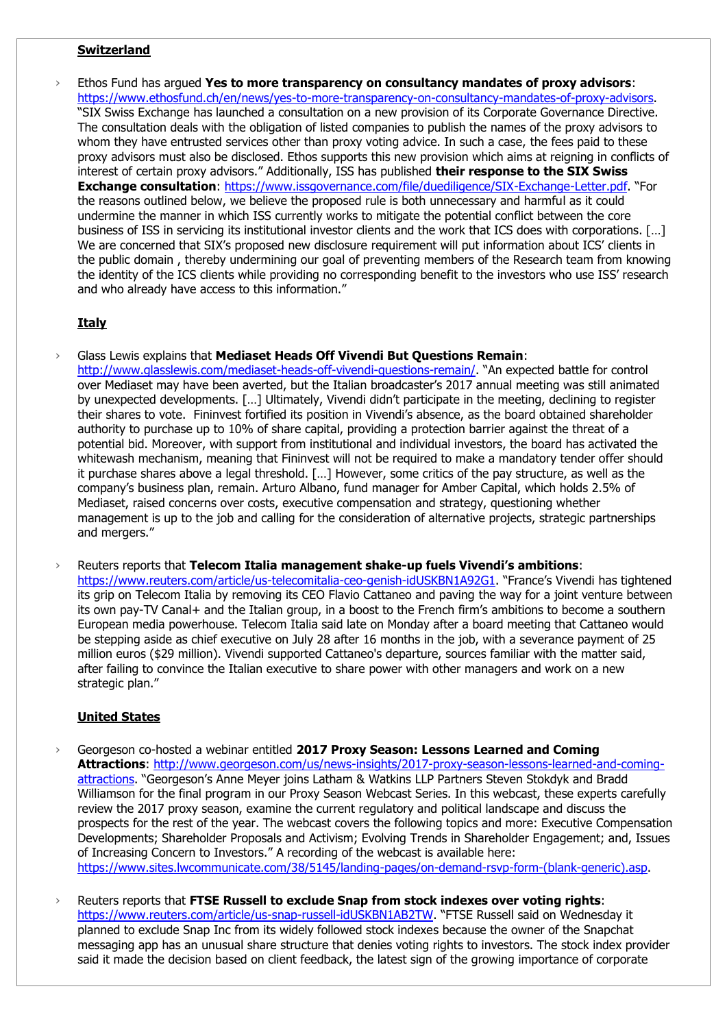#### **Switzerland**

› Ethos Fund has argued **Yes to more transparency on consultancy mandates of proxy advisors**: [https://www.ethosfund.ch/en/news/yes-to-more-transparency-on-consultancy-mandates-of-proxy-advisors.](https://www.ethosfund.ch/en/news/yes-to-more-transparency-on-consultancy-mandates-of-proxy-advisors) "SIX Swiss Exchange has launched a consultation on a new provision of its Corporate Governance Directive. The consultation deals with the obligation of listed companies to publish the names of the proxy advisors to whom they have entrusted services other than proxy voting advice. In such a case, the fees paid to these proxy advisors must also be disclosed. Ethos supports this new provision which aims at reigning in conflicts of interest of certain proxy advisors." Additionally, ISS has published **their response to the SIX Swiss Exchange consultation**: [https://www.issgovernance.com/file/duediligence/SIX-Exchange-Letter.pdf.](https://www.issgovernance.com/file/duediligence/SIX-Exchange-Letter.pdf) "For the reasons outlined below, we believe the proposed rule is both unnecessary and harmful as it could undermine the manner in which ISS currently works to mitigate the potential conflict between the core business of ISS in servicing its institutional investor clients and the work that ICS does with corporations. […] We are concerned that SIX's proposed new disclosure requirement will put information about ICS' clients in the public domain , thereby undermining our goal of preventing members of the Research team from knowing the identity of the ICS clients while providing no corresponding benefit to the investors who use ISS' research and who already have access to this information."

#### **Italy**

› Glass Lewis explains that **Mediaset Heads Off Vivendi But Questions Remain**:

<http://www.glasslewis.com/mediaset-heads-off-vivendi-questions-remain/>. "An expected battle for control over Mediaset may have been averted, but the Italian broadcaster's 2017 annual meeting was still animated by unexpected developments. […] Ultimately, Vivendi didn't participate in the meeting, declining to register their shares to vote. Fininvest fortified its position in Vivendi's absence, as the board obtained shareholder authority to purchase up to 10% of share capital, providing a protection barrier against the threat of a potential bid. Moreover, with support from institutional and individual investors, the board has activated the whitewash mechanism, meaning that Fininvest will not be required to make a mandatory tender offer should it purchase shares above a legal threshold. […] However, some critics of the pay structure, as well as the company's business plan, remain. Arturo Albano, fund manager for Amber Capital, which holds 2.5% of Mediaset, raised concerns over costs, executive compensation and strategy, questioning whether management is up to the job and calling for the consideration of alternative projects, strategic partnerships and mergers."

› Reuters reports that **Telecom Italia management shake-up fuels Vivendi's ambitions**: <https://www.reuters.com/article/us-telecomitalia-ceo-genish-idUSKBN1A92G1>. "France's Vivendi has tightened its grip on Telecom Italia by removing its CEO Flavio Cattaneo and paving the way for a joint venture between its own pay-TV Canal+ and the Italian group, in a boost to the French firm's ambitions to become a southern European media powerhouse. Telecom Italia said late on Monday after a board meeting that Cattaneo would be stepping aside as chief executive on July 28 after 16 months in the job, with a severance payment of 25 million euros (\$29 million). Vivendi supported Cattaneo's departure, sources familiar with the matter said, after failing to convince the Italian executive to share power with other managers and work on a new strategic plan."

#### **United States**

- › Georgeson co-hosted a webinar entitled **2017 Proxy Season: Lessons Learned and Coming Attractions**: [http://www.georgeson.com/us/news-insights/2017-proxy-season-lessons-learned-and-coming](http://www.georgeson.com/us/news-insights/2017-proxy-season-lessons-learned-and-coming-attractions)[attractions.](http://www.georgeson.com/us/news-insights/2017-proxy-season-lessons-learned-and-coming-attractions) "Georgeson's Anne Meyer joins Latham & Watkins LLP Partners Steven Stokdyk and Bradd Williamson for the final program in our Proxy Season Webcast Series. In this webcast, these experts carefully review the 2017 proxy season, examine the current regulatory and political landscape and discuss the prospects for the rest of the year. The webcast covers the following topics and more: Executive Compensation Developments; Shareholder Proposals and Activism; Evolving Trends in Shareholder Engagement; and, Issues of Increasing Concern to Investors." A recording of the webcast is available here: [https://www.sites.lwcommunicate.com/38/5145/landing-pages/on-demand-rsvp-form-\(blank-generic\).asp.](https://www.sites.lwcommunicate.com/38/5145/landing-pages/on-demand-rsvp-form-(blank-generic).asp)
- › Reuters reports that **FTSE Russell to exclude Snap from stock indexes over voting rights**: <https://www.reuters.com/article/us-snap-russell-idUSKBN1AB2TW>. "FTSE Russell said on Wednesday it planned to exclude Snap Inc from its widely followed stock indexes because the owner of the Snapchat messaging app has an unusual share structure that denies voting rights to investors. The stock index provider said it made the decision based on client feedback, the latest sign of the growing importance of corporate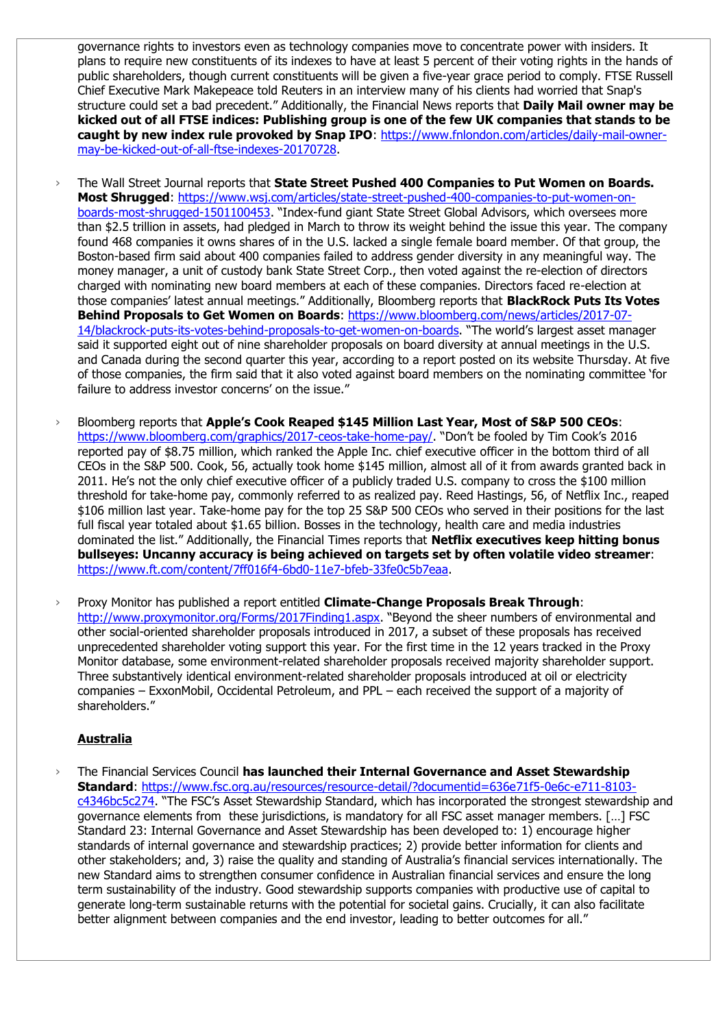governance rights to investors even as technology companies move to concentrate power with insiders. It plans to require new constituents of its indexes to have at least 5 percent of their voting rights in the hands of public shareholders, though current constituents will be given a five-year grace period to comply. FTSE Russell Chief Executive Mark Makepeace told Reuters in an interview many of his clients had worried that Snap's structure could set a bad precedent." Additionally, the Financial News reports that **Daily Mail owner may be kicked out of all FTSE indices: Publishing group is one of the few UK companies that stands to be caught by new index rule provoked by Snap IPO**: [https://www.fnlondon.com/articles/daily-mail-owner](https://www.fnlondon.com/articles/daily-mail-owner-may-be-kicked-out-of-all-ftse-indexes-20170728)[may-be-kicked-out-of-all-ftse-indexes-20170728.](https://www.fnlondon.com/articles/daily-mail-owner-may-be-kicked-out-of-all-ftse-indexes-20170728)

- › The Wall Street Journal reports that **State Street Pushed 400 Companies to Put Women on Boards. Most Shrugged**: [https://www.wsj.com/articles/state-street-pushed-400-companies-to-put-women-on](https://www.wsj.com/articles/state-street-pushed-400-companies-to-put-women-on-boards-most-shrugged-1501100453)[boards-most-shrugged-1501100453](https://www.wsj.com/articles/state-street-pushed-400-companies-to-put-women-on-boards-most-shrugged-1501100453). "Index-fund giant State Street Global Advisors, which oversees more than \$2.5 trillion in assets, had pledged in March to throw its weight behind the issue this year. The company found 468 companies it owns shares of in the U.S. lacked a single female board member. Of that group, the Boston-based firm said about 400 companies failed to address gender diversity in any meaningful way. The money manager, a unit of custody bank State Street Corp., then voted against the re-election of directors charged with nominating new board members at each of these companies. Directors faced re-election at those companies' latest annual meetings." Additionally, Bloomberg reports that **BlackRock Puts Its Votes Behind Proposals to Get Women on Boards**: [https://www.bloomberg.com/news/articles/2017-07-](https://www.bloomberg.com/news/articles/2017-07-14/blackrock-puts-its-votes-behind-proposals-to-get-women-on-boards) [14/blackrock-puts-its-votes-behind-proposals-to-get-women-on-boards](https://www.bloomberg.com/news/articles/2017-07-14/blackrock-puts-its-votes-behind-proposals-to-get-women-on-boards). "The world's largest asset manager said it supported eight out of nine shareholder proposals on board diversity at annual meetings in the U.S. and Canada during the second quarter this year, according to a report posted on its website Thursday. At five of those companies, the firm said that it also voted against board members on the nominating committee 'for failure to address investor concerns' on the issue."
- › Bloomberg reports that **Apple's Cook Reaped \$145 Million Last Year, Most of S&P 500 CEOs**: <https://www.bloomberg.com/graphics/2017-ceos-take-home-pay/>. "Don't be fooled by Tim Cook's 2016 reported pay of \$8.75 million, which ranked the Apple Inc. chief executive officer in the bottom third of all CEOs in the S&P 500. Cook, 56, actually took home \$145 million, almost all of it from awards granted back in 2011. He's not the only chief executive officer of a publicly traded U.S. company to cross the \$100 million threshold for take-home pay, commonly referred to as realized pay. Reed Hastings, 56, of Netflix Inc., reaped \$106 million last year. Take-home pay for the top 25 S&P 500 CEOs who served in their positions for the last full fiscal year totaled about \$1.65 billion. Bosses in the technology, health care and media industries dominated the list." Additionally, the Financial Times reports that **Netflix executives keep hitting bonus bullseyes: Uncanny accuracy is being achieved on targets set by often volatile video streamer**: [https://www.ft.com/content/7ff016f4-6bd0-11e7-bfeb-33fe0c5b7eaa.](https://www.ft.com/content/7ff016f4-6bd0-11e7-bfeb-33fe0c5b7eaa)
- › Proxy Monitor has published a report entitled **Climate-Change Proposals Break Through**: <http://www.proxymonitor.org/Forms/2017Finding1.aspx>. "Beyond the sheer numbers of environmental and other social-oriented shareholder proposals introduced in 2017, a subset of these proposals has received unprecedented shareholder voting support this year. For the first time in the 12 years tracked in the Proxy Monitor database, some environment-related shareholder proposals received majority shareholder support. Three substantively identical environment-related shareholder proposals introduced at oil or electricity companies – ExxonMobil, Occidental Petroleum, and PPL – each received the support of a majority of shareholders."

# **Australia**

› The Financial Services Council **has launched their Internal Governance and Asset Stewardship Standard**: [https://www.fsc.org.au/resources/resource-detail/?documentid=636e71f5-0e6c-e711-8103](https://www.fsc.org.au/resources/resource-detail/?documentid=636e71f5-0e6c-e711-8103-c4346bc5c274) [c4346bc5c274](https://www.fsc.org.au/resources/resource-detail/?documentid=636e71f5-0e6c-e711-8103-c4346bc5c274). "The FSC's Asset Stewardship Standard, which has incorporated the strongest stewardship and governance elements from these jurisdictions, is mandatory for all FSC asset manager members. […] FSC Standard 23: Internal Governance and Asset Stewardship has been developed to: 1) encourage higher standards of internal governance and stewardship practices; 2) provide better information for clients and other stakeholders; and, 3) raise the quality and standing of Australia's financial services internationally. The new Standard aims to strengthen consumer confidence in Australian financial services and ensure the long term sustainability of the industry. Good stewardship supports companies with productive use of capital to generate long-term sustainable returns with the potential for societal gains. Crucially, it can also facilitate better alignment between companies and the end investor, leading to better outcomes for all."